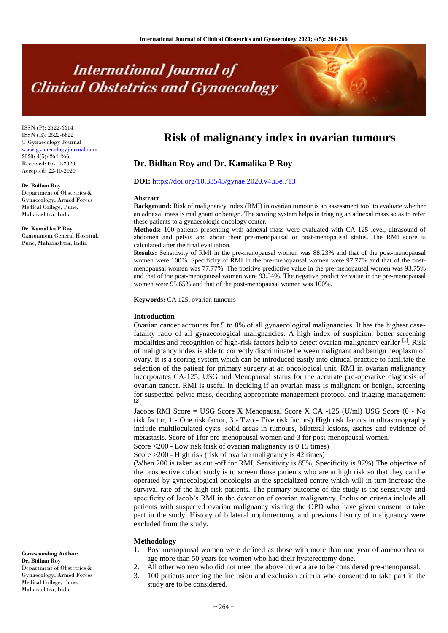# **International Journal of Clinical Obstetrics and Gynaecology**

ISSN (P): 2522-6614 ISSN (E): 2522-6622 © Gynaecology Journal <www.gynaecologyjournal.com> 2020; 4(5): 264-266 Received: 05-10-2020 Accepted: 22-10-2020

#### **Dr. Bidhan Roy**

Department of Obstetrics & Gynaecology, Armed Forces Medical College, Pune, Maharashtra, India

**Dr. Kamalika P Roy**

Cantonment General Hospital, Pune, Maharashtra, India

**Corresponding Author: Dr. Bidhan Roy** Department of Obstetrics & Gynaecology, Armed Forces Medical College, Pune, Maharashtra, India

## **Risk of malignancy index in ovarian tumours**

### **Dr. Bidhan Roy and Dr. Kamalika P Roy**

#### **DOI:** <https://doi.org/10.33545/gynae.2020.v4.i5e.713>

#### **Abstract**

**Background:** Risk of malignancy index (RMI) in ovarian tumour is an assessment tool to evaluate whether an adnexal mass is malignant or benign. The scoring system helps in triaging an adnexal mass so as to refer these patients to a gynaecologic oncology center.

**Methods:** 100 patients presenting with adnexal mass were evaluated with CA 125 level, ultrasound of abdomen and pelvis and about their pre-menopausal or post-menopausal status. The RMI score is calculated after the final evaluation.

**Results:** Sensitivity of RMI in the pre-menopausal women was 88.23% and that of the post-menopausal women were 100%. Specificity of RMI in the pre-menopausal women were 97.77% and that of the postmenopausal women was 77.77%. The positive predictive value in the pre-menopausal women was 93.75% and that of the post-menopausal women were 93.54%. The negative predictive value in the pre-menopausal women were 95.65% and that of the post-menopausal women was 100%.

**Keywords:** CA 125, ovarian tumours

#### **Introduction**

Ovarian cancer accounts for 5 to 8% of all gynaecological malignancies. It has the highest casefatality ratio of all gynaecological malignancies. A high index of suspicion, better screening modalities and recognition of high-risk factors help to detect ovarian malignancy earlier <sup>[1]</sup>. Risk of malignancy index is able to correctly discriminate between malignant and benign neoplasm of ovary. It is a scoring system which can be introduced easily into clinical practice to facilitate the selection of the patient for primary surgery at an oncological unit. RMI in ovarian malignancy incorporates CA-125, USG and Menopausal status for the accurate pre-operative diagnosis of ovarian cancer. RMI is useful in deciding if an ovarian mass is malignant or benign, screening for suspected pelvic mass, deciding appropriate management protocol and triaging management [2] .

Jacobs RMI Score = USG Score X Menopausal Score X CA -125 (U/ml) USG Score (0 - No risk factor, 1 - One risk factor, 3 - Two - Five risk factors) High risk factors in ultrasonography include multiloculated cysts, solid areas in tumours, bilateral lesions, ascites and evidence of metastasis. Score of 1for pre-menopausal women and 3 for post-menopausal women.

Score <200 - Low risk (risk of ovarian malignancy is 0.15 times)

Score >200 - High risk (risk of ovarian malignancy is 42 times)

(When 200 is taken as cut -off for RMI, Sensitivity is 85%, Specificity is 97%) The objective of the prospective cohort study is to screen those patients who are at high risk so that they can be operated by gynaecological oncologist at the specialized centre which will in turn increase the survival rate of the high-risk patients. The primary outcome of the study is the sensitivity and specificity of Jacob's RMI in the detection of ovarian malignancy. Inclusion criteria include all patients with suspected ovarian malignancy visiting the OPD who have given consent to take part in the study. History of bilateral oophorectomy and previous history of malignancy were excluded from the study.

#### **Methodology**

- 1. Post menopausal women were defined as those with more than one year of amenorrhea or age more than 50 years for women who had their hysterectomy done.
- 2. All other women who did not meet the above criteria are to be considered pre-menopausal.
- 3. 100 patients meeting the inclusion and exclusion criteria who consented to take part in the study are to be considered.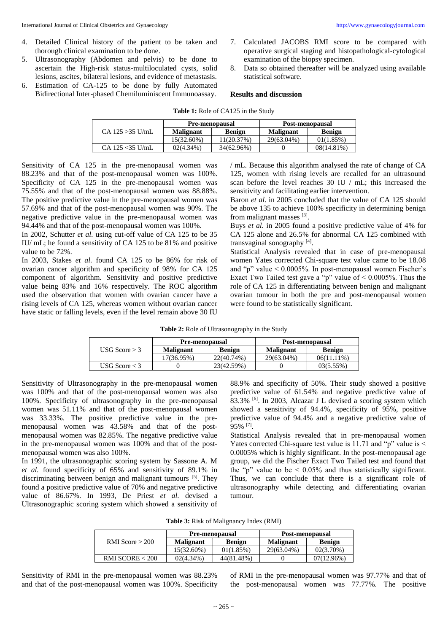- 4. Detailed Clinical history of the patient to be taken and thorough clinical examination to be done.
- 5. Ultrasonography (Abdomen and pelvis) to be done to ascertain the High-risk status-multiloculated cysts, solid lesions, ascites, bilateral lesions, and evidence of metastasis.
- 6. Estimation of CA-125 to be done by fully Automated Bidirectional Inter-phased Chemiluminiscent Immunoassay.
- 7. Calculated JACOBS RMI score to be compared with operative surgical staging and histopathological-cytological examination of the biopsy specimen.
- 8. Data so obtained thereafter will be analyzed using available statistical software.

#### **Results and discussion**

|                     | <b>Pre-menopausal</b> |               | Post-menopausal  |               |
|---------------------|-----------------------|---------------|------------------|---------------|
| $CA$ 125 $>35$ U/mL | Malignant             | <b>Benign</b> | <b>Malignant</b> | <b>Benign</b> |
|                     | 15(32.60%)            | 11(20.37%)    | 29(63.04%)       | 01(1.85%)     |
| CA 125 $<$ 35 U/mL  | $02(4.34\%)$          | 34(62.96%)    |                  | $08(14.81\%)$ |

Sensitivity of CA 125 in the pre-menopausal women was 88.23% and that of the post-menopausal women was 100%. Specificity of CA 125 in the pre-menopausal women was 75.55% and that of the post-menopausal women was 88.88%. The positive predictive value in the pre-menopausal women was 57.69% and that of the post-menopausal women was 90%. The negative predictive value in the pre-menopausal women was 94.44% and that of the post-menopausal women was 100%.

In 2002, Schutter *et al*. using cut-off value of CA 125 to be 35 IU/ mL; he found a sensitivity of CA 125 to be 81% and positive value to be 72%.

In 2003, Stakes *et al.* found CA 125 to be 86% for risk of ovarian cancer algorithm and specificity of 98% for CA 125 component of algorithm. Sensitivity and positive predictive value being 83% and 16% respectively. The ROC algorithm used the observation that women with ovarian cancer have a rising levels of CA 125, whereas women without ovarian cancer have static or falling levels, even if the level remain above 30 IU

/ mL. Because this algorithm analysed the rate of change of CA 125, women with rising levels are recalled for an ultrasound scan before the level reaches 30 IU / mL; this increased the sensitivity and facilitating earlier intervention.

Baron *et al.* in 2005 concluded that the value of CA 125 should be above 135 to achieve 100% specificity in determining benign from malignant masses [3].

Buys *et al.* in 2005 found a positive predictive value of 4% for CA 125 alone and 26.5% for abnormal CA 125 combined with transvaginal sonography [4].

Statistical Analysis revealed that in case of pre-menopausal women Yates corrected Chi-square test value came to be 18.08 and "p" value  $\leq 0.0005\%$ . In post-menopausal women Fischer's Exact Two Tailed test gave a "p" value of  $\leq 0.0005\%$ . Thus the role of CA 125 in differentiating between benign and malignant ovarian tumour in both the pre and post-menopausal women were found to be statistically significant.

|                 | <b>Pre-menopausal</b> |            | Post-menopausal  |               |
|-----------------|-----------------------|------------|------------------|---------------|
| USG Score $>$ 3 | <b>Malignant</b>      | Benign     | <b>Malignant</b> | Benign        |
|                 | 17(36.95%)            | 22(40.74%) | 29(63.04%)       | $06(11.11\%)$ |
| USG Score $<$ 3 |                       | 23(42.59%) |                  | $03(5.55\%)$  |

Sensitivity of Ultrasonography in the pre-menopausal women was 100% and that of the post-menopausal women was also 100%. Specificity of ultrasonography in the pre-menopausal women was 51.11% and that of the post-menopausal women was 33.33%. The positive predictive value in the premenopausal women was 43.58% and that of the postmenopausal women was 82.85%. The negative predictive value in the pre-menopausal women was 100% and that of the postmenopausal women was also 100%.

In 1991, the ultrasonographic scoring system by Sassone A. M *et al.* found specificity of 65% and sensitivity of 89.1% in discriminating between benign and malignant tumours <sup>[5]</sup>. They found a positive predictive value of 70% and negative predictive value of 86.67%. In 1993, De Priest *et al.* devised a Ultrasonographic scoring system which showed a sensitivity of 88.9% and specificity of 50%. Their study showed a positive predictive value of 61.54% and negative predictive value of  $83.3\%$  [6]. In 2003, Alcazar J L devised a scoring system which showed a sensitivity of 94.4%, specificity of 95%, positive predictive value of 94.4% and a negative predictive value of 95% [7] .

Statistical Analysis revealed that in pre-menopausal women Yates corrected Chi-square test value is 11.71 and "p" value is < 0.0005% which is highly significant. In the post-menopausal age group, we did the Fischer Exact Two Tailed test and found that the "p" value to be  $\leq 0.05\%$  and thus statistically significant. Thus, we can conclude that there is a significant role of ultrasonography while detecting and differentiating ovarian tumour.

| Table 3: Risk of Malignancy Index (RMI) |
|-----------------------------------------|
|-----------------------------------------|

|                     | <b>Pre-menopausal</b> |               | Post-menopausal  |               |
|---------------------|-----------------------|---------------|------------------|---------------|
| RMI Score $>$ 200   | <b>Malignant</b>      | <b>Benign</b> | <b>Malignant</b> | <b>Benign</b> |
|                     | 15(32.60%)            | 01(1.85%)     | 29(63.04%)       | $02(3.70\%)$  |
| $RMI$ SCORE $<$ 200 | $02(4.34\%)$          | 44(81.48%)    |                  | 07(12.96%)    |

Sensitivity of RMI in the pre-menopausal women was 88.23% and that of the post-menopausal women was 100%. Specificity of RMI in the pre-menopausal women was 97.77% and that of the post-menopausal women was 77.77%. The positive